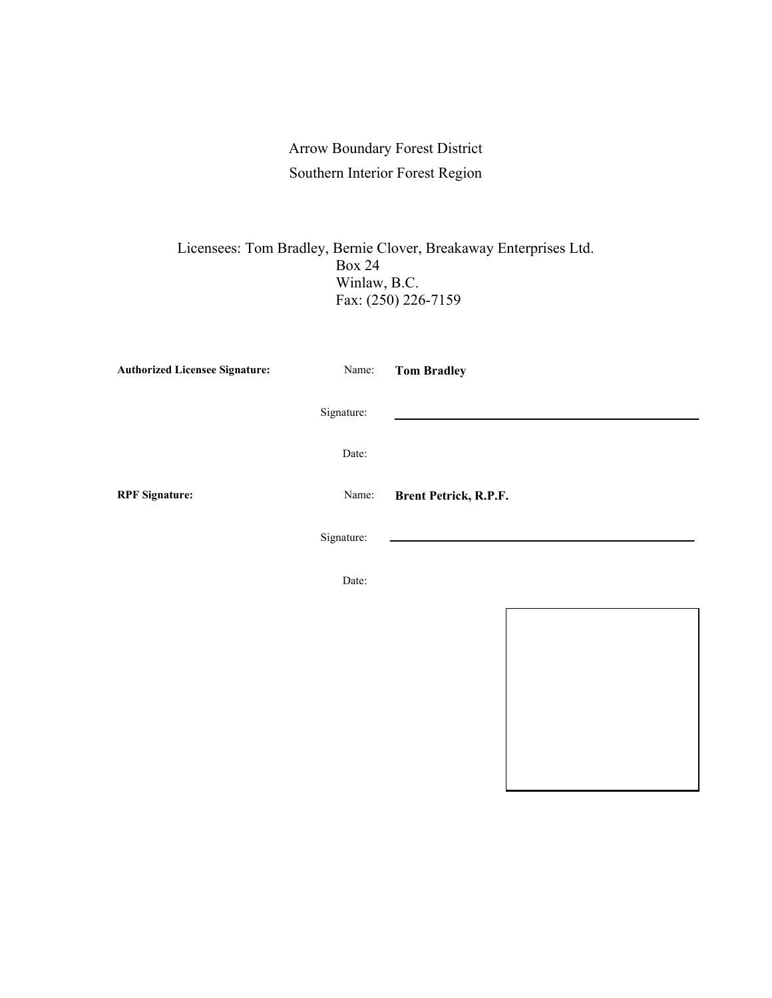## Arrow Boundary Forest District Southern Interior Forest Region

Licensees: Tom Bradley, Bernie Clover, Breakaway Enterprises Ltd. Box 24 Winlaw, B.C. Fax: (250) 226-7159

| <b>Authorized Licensee Signature:</b> | Name:      | <b>Tom Bradley</b>    |
|---------------------------------------|------------|-----------------------|
|                                       | Signature: |                       |
|                                       | Date:      |                       |
| <b>RPF</b> Signature:                 | Name:      | Brent Petrick, R.P.F. |
|                                       | Signature: |                       |
|                                       | Date:      |                       |
|                                       |            |                       |

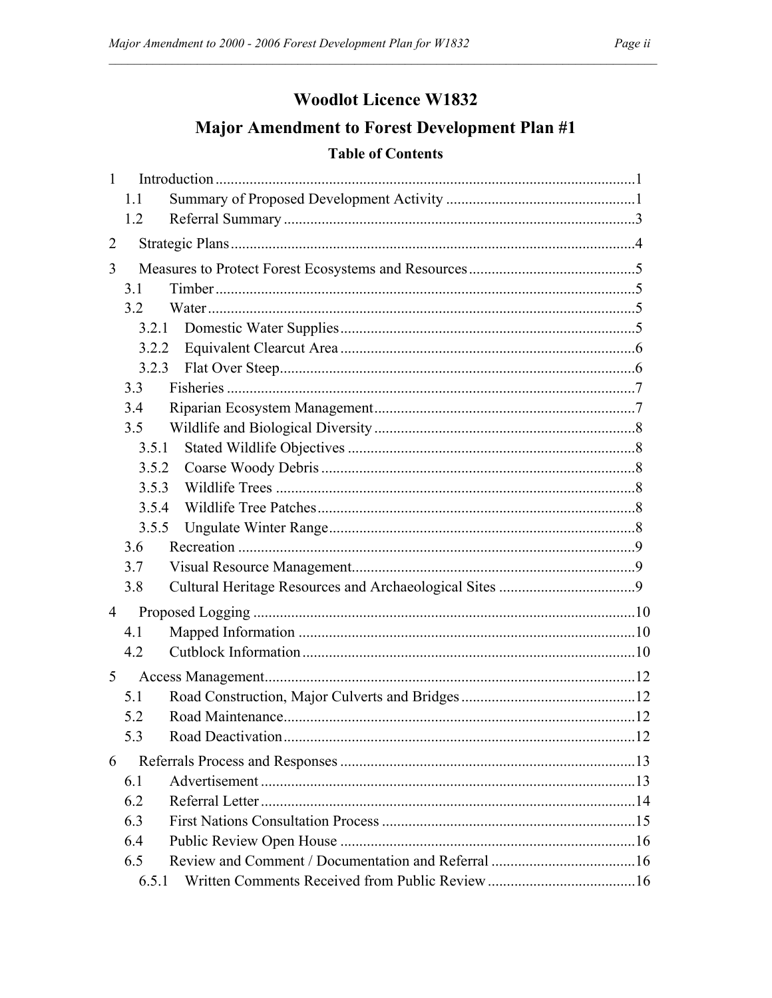## **Woodlot Licence W1832**

# Major Amendment to Forest Development Plan #1

#### **Table of Contents**

| $\mathbf{1}$   |       |  |
|----------------|-------|--|
|                | 1.1   |  |
|                | 1.2   |  |
| $\overline{2}$ |       |  |
| 3              |       |  |
|                | 3.1   |  |
|                | 3.2   |  |
|                | 3.2.1 |  |
|                | 3.2.2 |  |
|                | 3.2.3 |  |
|                | 3.3   |  |
|                | 3.4   |  |
|                | 3.5   |  |
|                | 3.5.1 |  |
|                | 3.5.2 |  |
|                | 3.5.3 |  |
|                | 3.5.4 |  |
|                | 3.5.5 |  |
|                | 3.6   |  |
|                | 3.7   |  |
|                | 3.8   |  |
| 4              |       |  |
|                | 4.1   |  |
|                | 4.2   |  |
| 5              |       |  |
|                | 5.1   |  |
|                | 5.2   |  |
|                | 5.3   |  |
| 6              |       |  |
|                | 6.1   |  |
|                | 6.2   |  |
|                | 6.3   |  |
|                | 6.4   |  |
|                | 6.5   |  |
|                | 6.5.1 |  |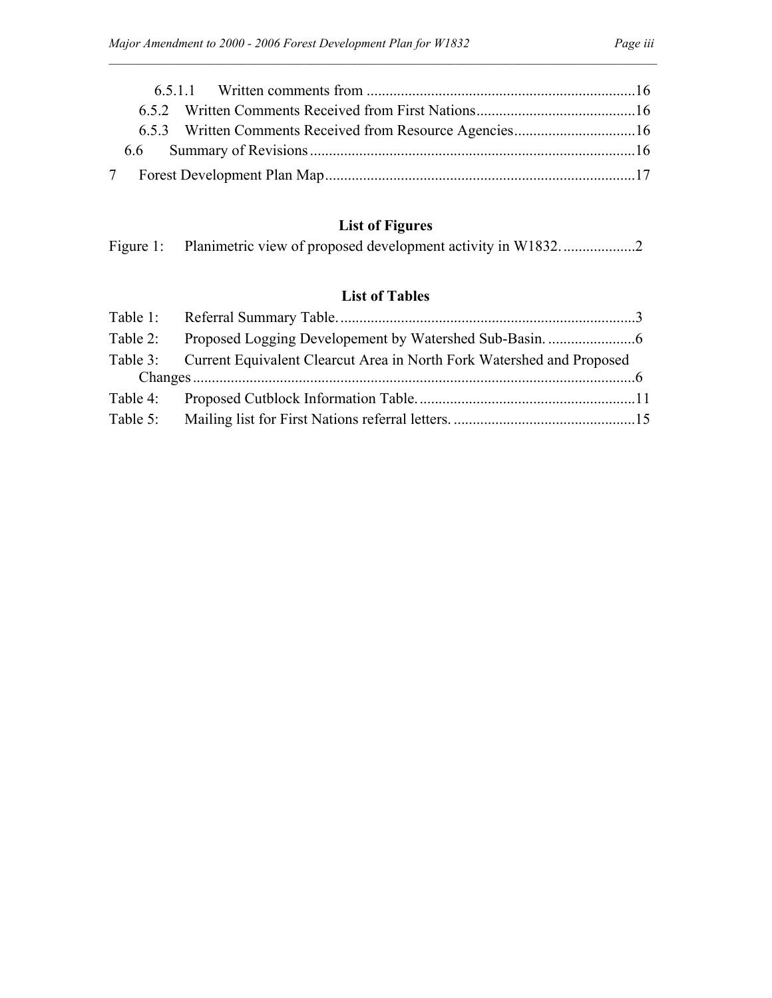## **List of Figures**

### **List of Tables**

| Table 3: Current Equivalent Clearcut Area in North Fork Watershed and Proposed |  |
|--------------------------------------------------------------------------------|--|
|                                                                                |  |
|                                                                                |  |
|                                                                                |  |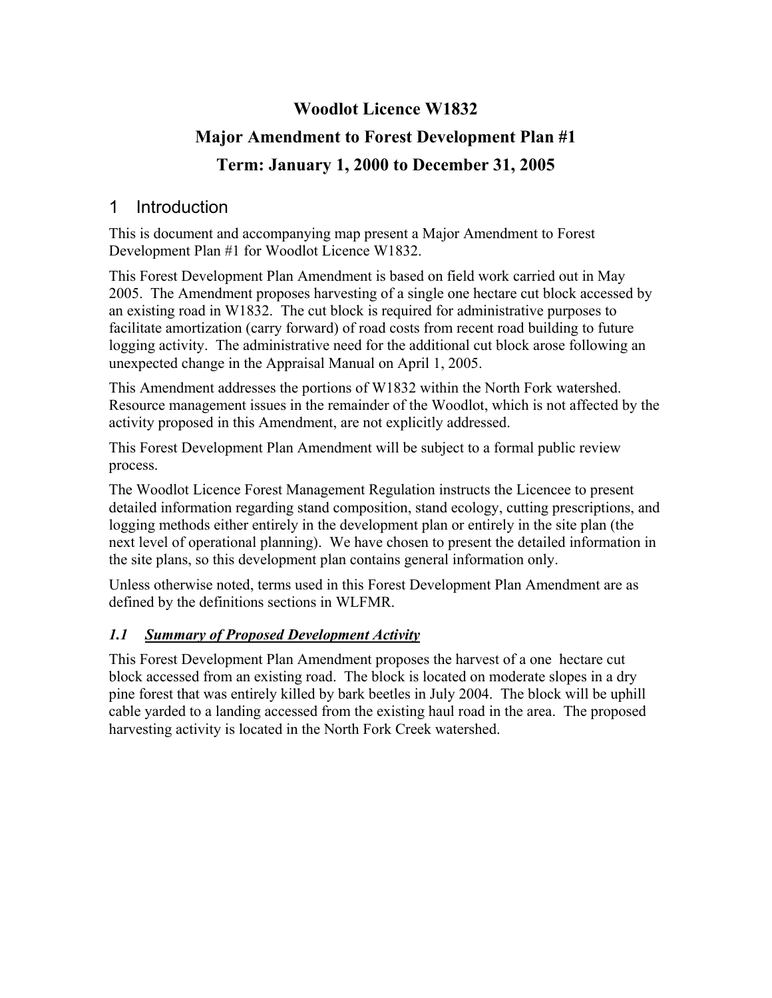# **Woodlot Licence W1832 Major Amendment to Forest Development Plan #1 Term: January 1, 2000 to December 31, 2005**

## 1 Introduction

This is document and accompanying map present a Major Amendment to Forest Development Plan #1 for Woodlot Licence W1832.

This Forest Development Plan Amendment is based on field work carried out in May 2005. The Amendment proposes harvesting of a single one hectare cut block accessed by an existing road in W1832. The cut block is required for administrative purposes to facilitate amortization (carry forward) of road costs from recent road building to future logging activity. The administrative need for the additional cut block arose following an unexpected change in the Appraisal Manual on April 1, 2005.

This Amendment addresses the portions of W1832 within the North Fork watershed. Resource management issues in the remainder of the Woodlot, which is not affected by the activity proposed in this Amendment, are not explicitly addressed.

This Forest Development Plan Amendment will be subject to a formal public review process.

The Woodlot Licence Forest Management Regulation instructs the Licencee to present detailed information regarding stand composition, stand ecology, cutting prescriptions, and logging methods either entirely in the development plan or entirely in the site plan (the next level of operational planning). We have chosen to present the detailed information in the site plans, so this development plan contains general information only.

Unless otherwise noted, terms used in this Forest Development Plan Amendment are as defined by the definitions sections in WLFMR.

#### *1.1 Summary of Proposed Development Activity*

This Forest Development Plan Amendment proposes the harvest of a one hectare cut block accessed from an existing road. The block is located on moderate slopes in a dry pine forest that was entirely killed by bark beetles in July 2004. The block will be uphill cable yarded to a landing accessed from the existing haul road in the area. The proposed harvesting activity is located in the North Fork Creek watershed.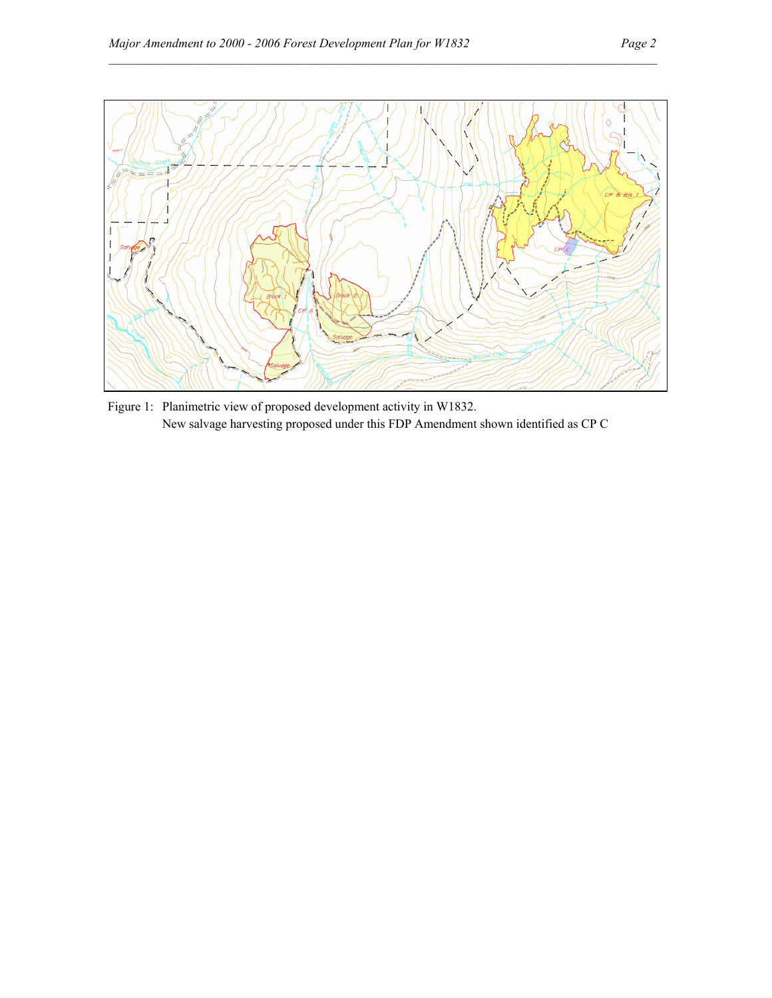

Figure 1: Planimetric view of proposed development activity in W1832. New salvage harvesting proposed under this FDP Amendment shown identified as CP C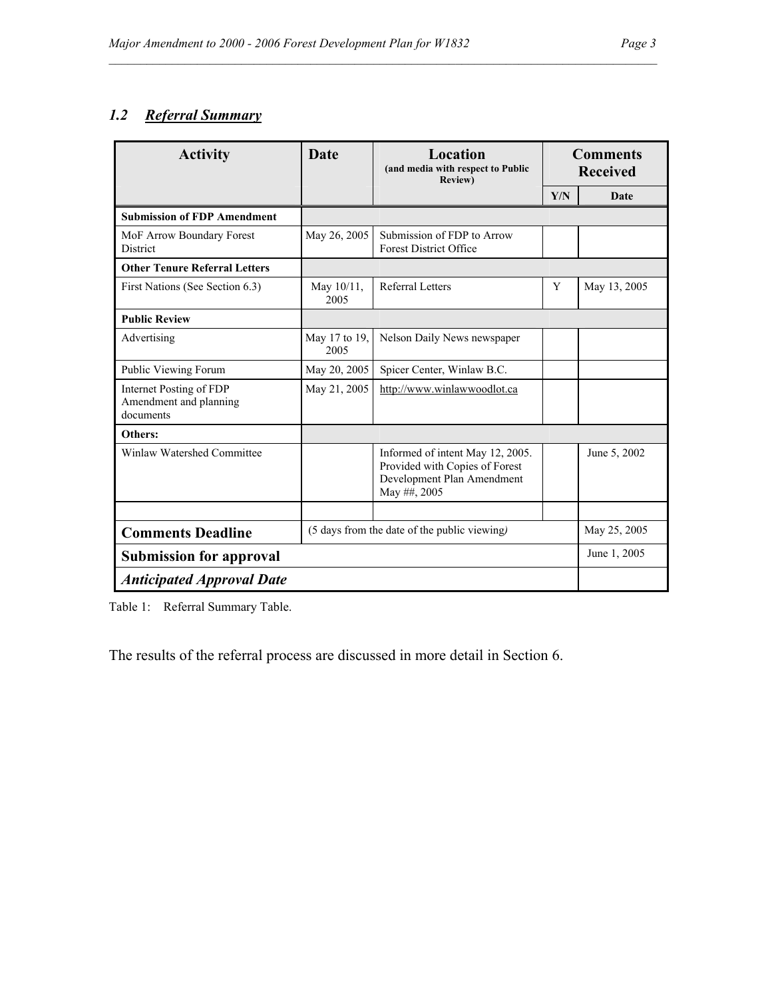## *1.2 Referral Summary*

| <b>Activity</b>                                                | Location<br><b>Date</b><br>(and media with respect to Public<br><b>Review</b> ) |                                                                                                                  | <b>Comments</b><br><b>Received</b> |              |
|----------------------------------------------------------------|---------------------------------------------------------------------------------|------------------------------------------------------------------------------------------------------------------|------------------------------------|--------------|
|                                                                |                                                                                 |                                                                                                                  | Y/N                                | Date         |
| <b>Submission of FDP Amendment</b>                             |                                                                                 |                                                                                                                  |                                    |              |
| MoF Arrow Boundary Forest<br>District                          | May 26, 2005                                                                    | Submission of FDP to Arrow<br><b>Forest District Office</b>                                                      |                                    |              |
| <b>Other Tenure Referral Letters</b>                           |                                                                                 |                                                                                                                  |                                    |              |
| First Nations (See Section 6.3)                                | May $10/11$ ,<br>2005                                                           | Referral Letters                                                                                                 | Y                                  | May 13, 2005 |
| <b>Public Review</b>                                           |                                                                                 |                                                                                                                  |                                    |              |
| Advertising                                                    | May 17 to 19,<br>2005                                                           | Nelson Daily News newspaper                                                                                      |                                    |              |
| Public Viewing Forum                                           | May 20, 2005                                                                    | Spicer Center, Winlaw B.C.                                                                                       |                                    |              |
| Internet Posting of FDP<br>Amendment and planning<br>documents | May 21, 2005                                                                    | http://www.winlawwoodlot.ca                                                                                      |                                    |              |
| Others:                                                        |                                                                                 |                                                                                                                  |                                    |              |
| Winlaw Watershed Committee                                     |                                                                                 | Informed of intent May 12, 2005.<br>Provided with Copies of Forest<br>Development Plan Amendment<br>May ##, 2005 |                                    | June 5, 2002 |
|                                                                |                                                                                 |                                                                                                                  |                                    |              |
| <b>Comments Deadline</b>                                       | (5 days from the date of the public viewing)                                    |                                                                                                                  |                                    | May 25, 2005 |
| <b>Submission for approval</b>                                 |                                                                                 |                                                                                                                  |                                    | June 1, 2005 |
| <b>Anticipated Approval Date</b>                               |                                                                                 |                                                                                                                  |                                    |              |

 $\mathcal{L}_\mathcal{L}$ 

Table 1: Referral Summary Table.

The results of the referral process are discussed in more detail in Section 6.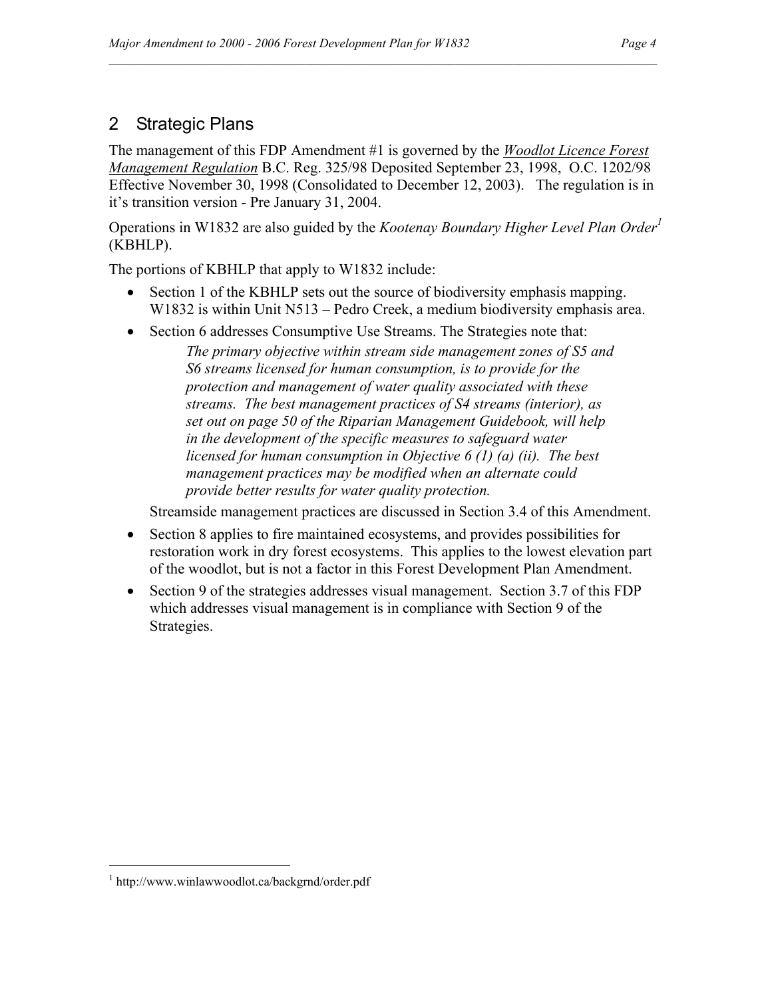## 2 Strategic Plans

The management of this FDP Amendment #1 is governed by the *Woodlot Licence Forest Management Regulation* B.C. Reg. 325/98 Deposited September 23, 1998, O.C. 1202/98 Effective November 30, 1998 (Consolidated to December 12, 2003). The regulation is in it's transition version - Pre January 31, 2004.

 $\mathcal{L}_\mathcal{L}$ 

Operations in W1832 are also guided by the *Kootenay Boundary Higher Level Plan Order<sup>1</sup>* (KBHLP).

The portions of KBHLP that apply to W1832 include:

- Section 1 of the KBHLP sets out the source of biodiversity emphasis mapping. W1832 is within Unit N513 – Pedro Creek, a medium biodiversity emphasis area.
- Section 6 addresses Consumptive Use Streams. The Strategies note that:

*The primary objective within stream side management zones of S5 and S6 streams licensed for human consumption, is to provide for the protection and management of water quality associated with these streams. The best management practices of S4 streams (interior), as set out on page 50 of the Riparian Management Guidebook, will help in the development of the specific measures to safeguard water licensed for human consumption in Objective 6 (1) (a) (ii). The best management practices may be modified when an alternate could provide better results for water quality protection.* 

Streamside management practices are discussed in Section 3.4 of this Amendment.

- Section 8 applies to fire maintained ecosystems, and provides possibilities for restoration work in dry forest ecosystems. This applies to the lowest elevation part of the woodlot, but is not a factor in this Forest Development Plan Amendment.
- Section 9 of the strategies addresses visual management. Section 3.7 of this FDP which addresses visual management is in compliance with Section 9 of the Strategies.

 $\overline{a}$ 

<sup>1</sup> http://www.winlawwoodlot.ca/backgrnd/order.pdf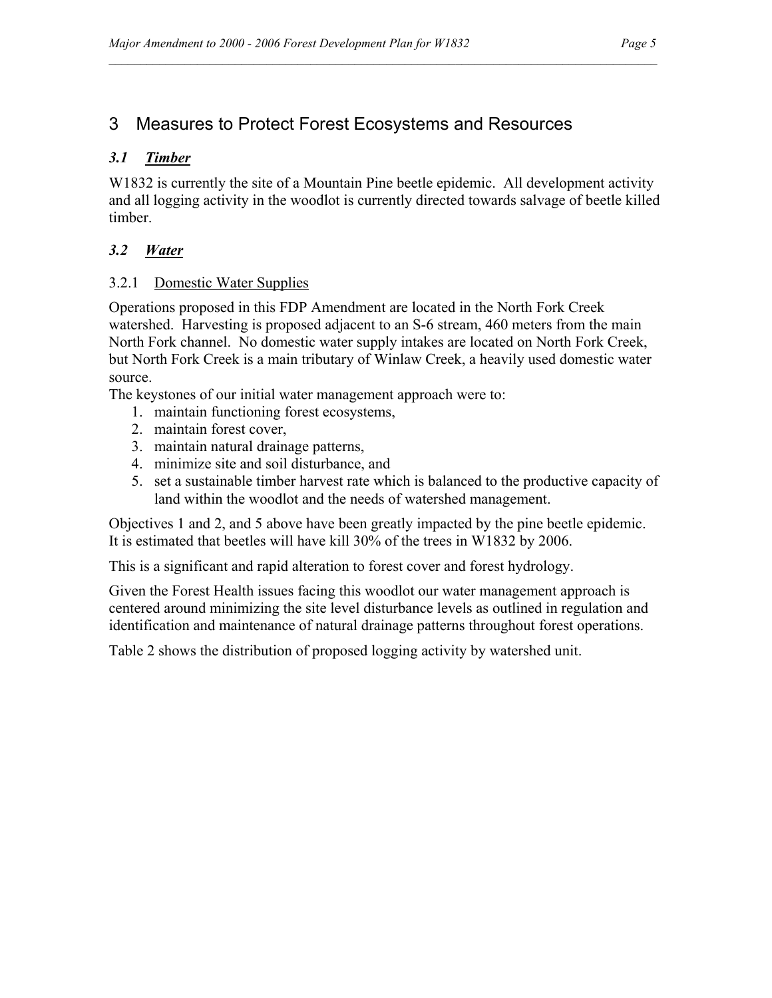## 3 Measures to Protect Forest Ecosystems and Resources

#### *3.1 Timber*

W1832 is currently the site of a Mountain Pine beetle epidemic. All development activity and all logging activity in the woodlot is currently directed towards salvage of beetle killed timber.

 $\mathcal{L}_\mathcal{L}$ 

#### *3.2 Water*

#### 3.2.1 Domestic Water Supplies

Operations proposed in this FDP Amendment are located in the North Fork Creek watershed. Harvesting is proposed adjacent to an S-6 stream, 460 meters from the main North Fork channel. No domestic water supply intakes are located on North Fork Creek, but North Fork Creek is a main tributary of Winlaw Creek, a heavily used domestic water source.

The keystones of our initial water management approach were to:

- 1. maintain functioning forest ecosystems,
- 2. maintain forest cover,
- 3. maintain natural drainage patterns,
- 4. minimize site and soil disturbance, and
- 5. set a sustainable timber harvest rate which is balanced to the productive capacity of land within the woodlot and the needs of watershed management.

Objectives 1 and 2, and 5 above have been greatly impacted by the pine beetle epidemic. It is estimated that beetles will have kill 30% of the trees in W1832 by 2006.

This is a significant and rapid alteration to forest cover and forest hydrology.

Given the Forest Health issues facing this woodlot our water management approach is centered around minimizing the site level disturbance levels as outlined in regulation and identification and maintenance of natural drainage patterns throughout forest operations.

Table 2 shows the distribution of proposed logging activity by watershed unit.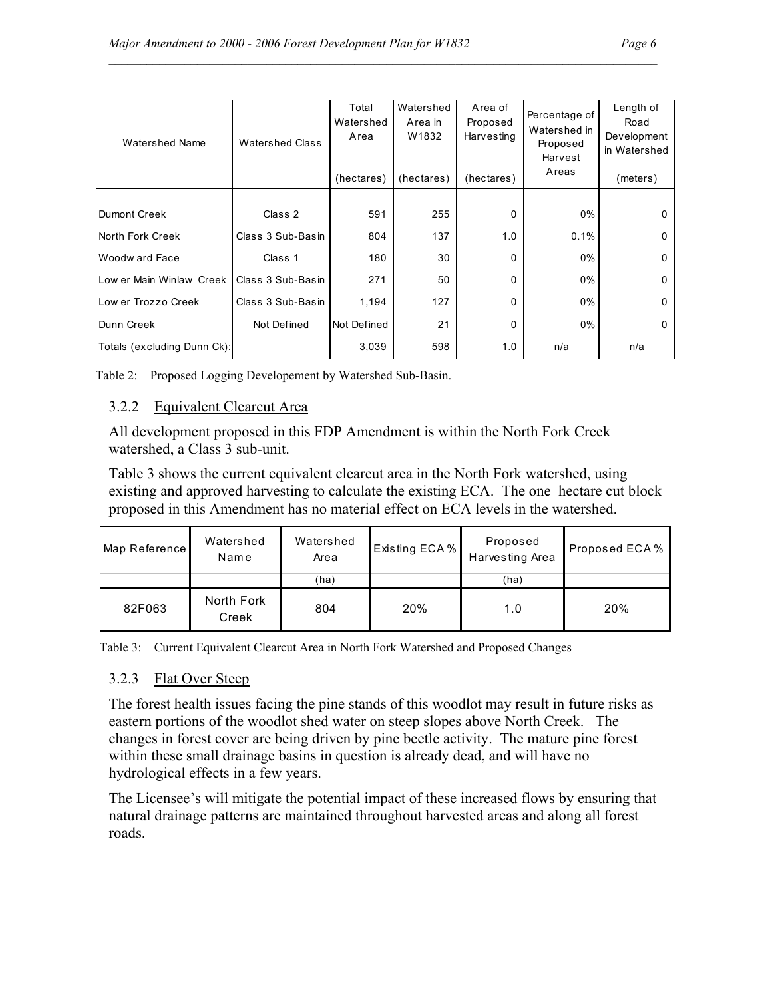|--|--|

| <b>Watershed Name</b>       | <b>Watershed Class</b> | Total<br>Watershed<br>Area<br>(hectares) | Watershed<br>Area in<br>W1832<br>(hectares) | Area of<br>Proposed<br>Harvesting<br>(hectares) | Percentage of<br>Watershed in<br>Proposed<br>Harvest<br>Areas | Length of<br>Road<br>Development<br>in Watershed<br>(meters) |
|-----------------------------|------------------------|------------------------------------------|---------------------------------------------|-------------------------------------------------|---------------------------------------------------------------|--------------------------------------------------------------|
| Dumont Creek                | Class 2                | 591                                      | 255                                         | $\Omega$                                        | $0\%$                                                         | 0                                                            |
| North Fork Creek            | Class 3 Sub-Basin      | 804                                      | 137                                         | 1.0                                             | 0.1%                                                          | 0                                                            |
| Woodw ard Face              | Class 1                | 180                                      | 30                                          | $\Omega$                                        | $0\%$                                                         | $\Omega$                                                     |
| Low er Main Winlaw Creek    | Class 3 Sub-Basin      | 271                                      | 50                                          | $\Omega$                                        | $0\%$                                                         | 0                                                            |
| Low er Trozzo Creek         | Class 3 Sub-Basin      | 1,194                                    | 127                                         | 0                                               | $0\%$                                                         | 0                                                            |
| Dunn Creek                  | Not Defined            | Not Defined                              | 21                                          | 0                                               | $0\%$                                                         | 0                                                            |
| Totals (excluding Dunn Ck): |                        | 3,039                                    | 598                                         | 1.0                                             | n/a                                                           | n/a                                                          |

Table 2: Proposed Logging Developement by Watershed Sub-Basin.

#### 3.2.2 Equivalent Clearcut Area

All development proposed in this FDP Amendment is within the North Fork Creek watershed, a Class 3 sub-unit.

Table 3 shows the current equivalent clearcut area in the North Fork watershed, using existing and approved harvesting to calculate the existing ECA. The one hectare cut block proposed in this Amendment has no material effect on ECA levels in the watershed.

| Map Reference | Watershed<br>Name   | Watershed<br>Area | Existing ECA % | Proposed<br>Harvesting Area | Proposed ECA % |
|---------------|---------------------|-------------------|----------------|-----------------------------|----------------|
|               |                     | (ha)              |                | (ha)                        |                |
| 82F063        | North Fork<br>Creek | 804               | 20%            | 1.0                         | 20%            |

Table 3: Current Equivalent Clearcut Area in North Fork Watershed and Proposed Changes

#### 3.2.3 Flat Over Steep

The forest health issues facing the pine stands of this woodlot may result in future risks as eastern portions of the woodlot shed water on steep slopes above North Creek. The changes in forest cover are being driven by pine beetle activity. The mature pine forest within these small drainage basins in question is already dead, and will have no hydrological effects in a few years.

The Licensee's will mitigate the potential impact of these increased flows by ensuring that natural drainage patterns are maintained throughout harvested areas and along all forest roads.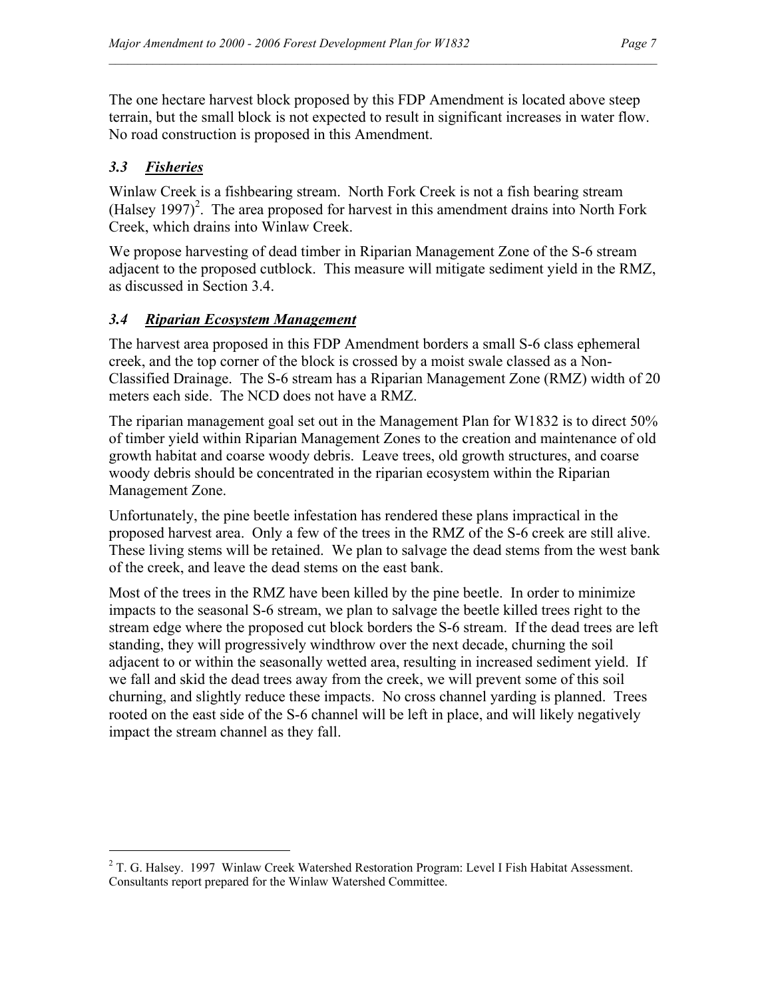The one hectare harvest block proposed by this FDP Amendment is located above steep terrain, but the small block is not expected to result in significant increases in water flow. No road construction is proposed in this Amendment.

### *3.3 Fisheries*

 $\overline{a}$ 

Winlaw Creek is a fishbearing stream. North Fork Creek is not a fish bearing stream  $(Halsey 1997)<sup>2</sup>$ . The area proposed for harvest in this amendment drains into North Fork Creek, which drains into Winlaw Creek.

We propose harvesting of dead timber in Riparian Management Zone of the S-6 stream adjacent to the proposed cutblock. This measure will mitigate sediment yield in the RMZ, as discussed in Section 3.4.

#### *3.4 Riparian Ecosystem Management*

The harvest area proposed in this FDP Amendment borders a small S-6 class ephemeral creek, and the top corner of the block is crossed by a moist swale classed as a Non-Classified Drainage. The S-6 stream has a Riparian Management Zone (RMZ) width of 20 meters each side. The NCD does not have a RMZ.

The riparian management goal set out in the Management Plan for W1832 is to direct 50% of timber yield within Riparian Management Zones to the creation and maintenance of old growth habitat and coarse woody debris. Leave trees, old growth structures, and coarse woody debris should be concentrated in the riparian ecosystem within the Riparian Management Zone.

Unfortunately, the pine beetle infestation has rendered these plans impractical in the proposed harvest area. Only a few of the trees in the RMZ of the S-6 creek are still alive. These living stems will be retained. We plan to salvage the dead stems from the west bank of the creek, and leave the dead stems on the east bank.

Most of the trees in the RMZ have been killed by the pine beetle. In order to minimize impacts to the seasonal S-6 stream, we plan to salvage the beetle killed trees right to the stream edge where the proposed cut block borders the S-6 stream. If the dead trees are left standing, they will progressively windthrow over the next decade, churning the soil adjacent to or within the seasonally wetted area, resulting in increased sediment yield. If we fall and skid the dead trees away from the creek, we will prevent some of this soil churning, and slightly reduce these impacts. No cross channel yarding is planned. Trees rooted on the east side of the S-6 channel will be left in place, and will likely negatively impact the stream channel as they fall.

 $2$  T. G. Halsey. 1997 Winlaw Creek Watershed Restoration Program: Level I Fish Habitat Assessment. Consultants report prepared for the Winlaw Watershed Committee.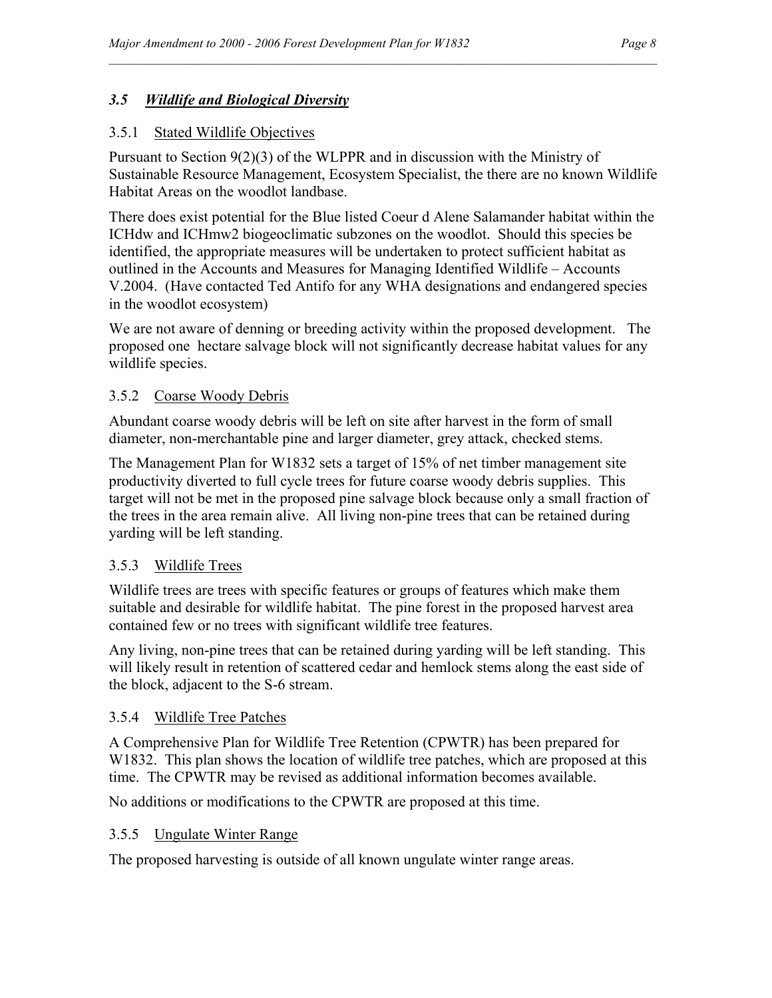#### *3.5 Wildlife and Biological Diversity*

#### 3.5.1 Stated Wildlife Objectives

Pursuant to Section 9(2)(3) of the WLPPR and in discussion with the Ministry of Sustainable Resource Management, Ecosystem Specialist, the there are no known Wildlife Habitat Areas on the woodlot landbase.

 $\mathcal{L}_\mathcal{L}$ 

There does exist potential for the Blue listed Coeur d Alene Salamander habitat within the ICHdw and ICHmw2 biogeoclimatic subzones on the woodlot. Should this species be identified, the appropriate measures will be undertaken to protect sufficient habitat as outlined in the Accounts and Measures for Managing Identified Wildlife – Accounts V.2004. (Have contacted Ted Antifo for any WHA designations and endangered species in the woodlot ecosystem)

We are not aware of denning or breeding activity within the proposed development. The proposed one hectare salvage block will not significantly decrease habitat values for any wildlife species.

#### 3.5.2 Coarse Woody Debris

Abundant coarse woody debris will be left on site after harvest in the form of small diameter, non-merchantable pine and larger diameter, grey attack, checked stems.

The Management Plan for W1832 sets a target of 15% of net timber management site productivity diverted to full cycle trees for future coarse woody debris supplies. This target will not be met in the proposed pine salvage block because only a small fraction of the trees in the area remain alive. All living non-pine trees that can be retained during yarding will be left standing.

#### 3.5.3 Wildlife Trees

Wildlife trees are trees with specific features or groups of features which make them suitable and desirable for wildlife habitat. The pine forest in the proposed harvest area contained few or no trees with significant wildlife tree features.

Any living, non-pine trees that can be retained during yarding will be left standing. This will likely result in retention of scattered cedar and hemlock stems along the east side of the block, adjacent to the S-6 stream.

#### 3.5.4 Wildlife Tree Patches

A Comprehensive Plan for Wildlife Tree Retention (CPWTR) has been prepared for W1832. This plan shows the location of wildlife tree patches, which are proposed at this time. The CPWTR may be revised as additional information becomes available.

No additions or modifications to the CPWTR are proposed at this time.

#### 3.5.5 Ungulate Winter Range

The proposed harvesting is outside of all known ungulate winter range areas.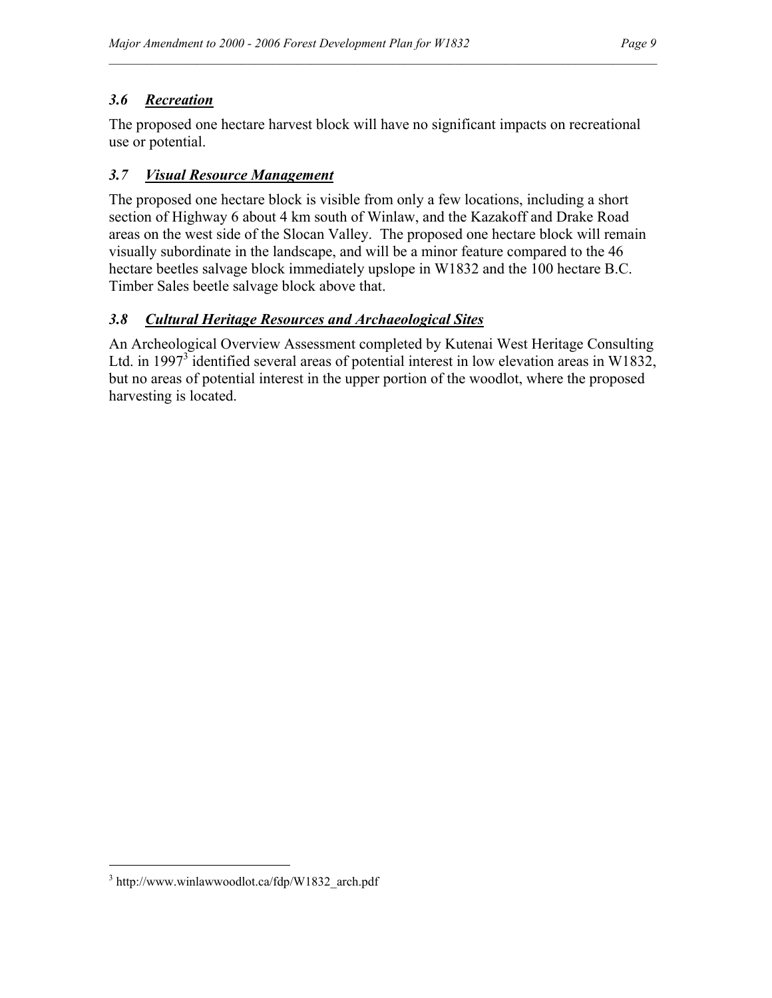### *3.6 Recreation*

The proposed one hectare harvest block will have no significant impacts on recreational use or potential.

 $\mathcal{L}_\mathcal{L}$ 

### *3.7 Visual Resource Management*

The proposed one hectare block is visible from only a few locations, including a short section of Highway 6 about 4 km south of Winlaw, and the Kazakoff and Drake Road areas on the west side of the Slocan Valley. The proposed one hectare block will remain visually subordinate in the landscape, and will be a minor feature compared to the 46 hectare beetles salvage block immediately upslope in W1832 and the 100 hectare B.C. Timber Sales beetle salvage block above that.

#### *3.8 Cultural Heritage Resources and Archaeological Sites*

An Archeological Overview Assessment completed by Kutenai West Heritage Consulting Ltd. in 1997<sup>3</sup> identified several areas of potential interest in low elevation areas in W1832, but no areas of potential interest in the upper portion of the woodlot, where the proposed harvesting is located.

 $\overline{a}$ 

<sup>3</sup> http://www.winlawwoodlot.ca/fdp/W1832\_arch.pdf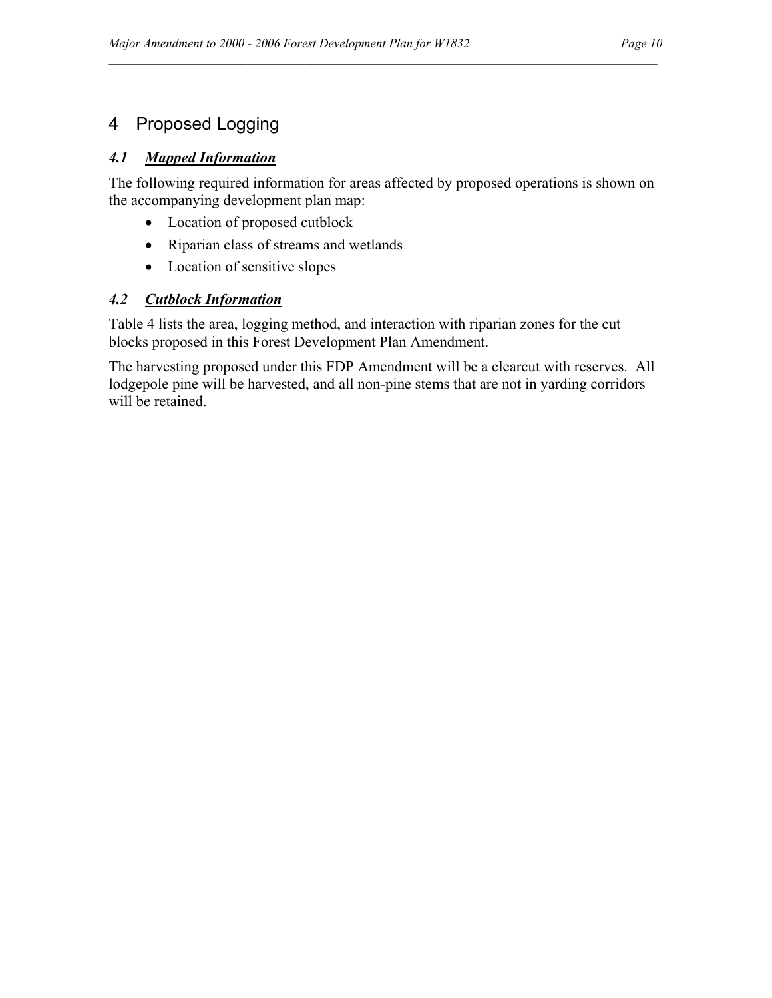## 4 Proposed Logging

#### *4.1 Mapped Information*

The following required information for areas affected by proposed operations is shown on the accompanying development plan map:

 $\mathcal{L}_\mathcal{L}$ 

- Location of proposed cutblock
- Riparian class of streams and wetlands
- Location of sensitive slopes

### *4.2 Cutblock Information*

Table 4 lists the area, logging method, and interaction with riparian zones for the cut blocks proposed in this Forest Development Plan Amendment.

The harvesting proposed under this FDP Amendment will be a clearcut with reserves. All lodgepole pine will be harvested, and all non-pine stems that are not in yarding corridors will be retained.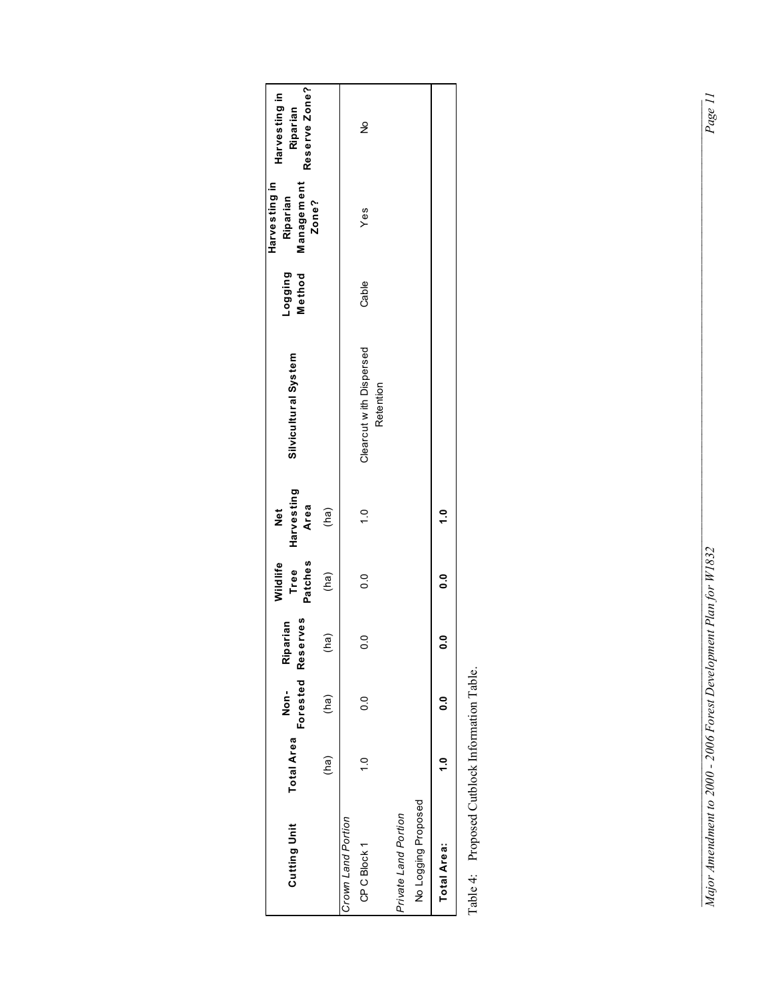| <b>Cutting Unit</b>                          | <b>Total Area</b> | Non-          | Forested Reserves<br>Riparian | Tree<br>Patches<br><b>Nildlife</b> | Harvesting<br>Area<br>Net | Silvicultural System                 | Method<br><b>Buibbon</b> | Harvesting in<br>Management<br>Riparian<br>Zone? | Reserve Zone?<br>Harvesting in<br>Riparian |
|----------------------------------------------|-------------------|---------------|-------------------------------|------------------------------------|---------------------------|--------------------------------------|--------------------------|--------------------------------------------------|--------------------------------------------|
|                                              | (ha)              | (ha)          | (ha)                          | (ha)                               | (ha)                      |                                      |                          |                                                  |                                            |
| Crown Land Portion                           |                   |               |                               |                                    |                           |                                      |                          |                                                  |                                            |
| CP C Block 1                                 | $\frac{0}{1}$     | $\frac{1}{2}$ | O                             | o<br>O                             | $\frac{1}{\sqrt{2}}$      | Clearcut with Dispersed<br>Retention | Cable                    | Yes                                              | ş                                          |
| Private Land Portion                         |                   |               |                               |                                    |                           |                                      |                          |                                                  |                                            |
| No Logging Proposed                          |                   |               |                               |                                    |                           |                                      |                          |                                                  |                                            |
| <b>Total Area:</b>                           | ្ម                | ິ             |                               | o<br>O                             | $\ddot{ }$                |                                      |                          |                                                  |                                            |
| Table 1: Proposal Cutblock Information Table |                   |               |                               |                                    |                           |                                      |                          |                                                  |                                            |

Table 4: Proposed Cutblock Information Table. Table 4: Proposed Cutblock Information Table.

*Major Amendment to 2000 - 2006 Forest Development Plan for W1832 Page 11*   $\mathcal{L} = \{ \mathcal{L} \mid \mathcal{L} \mid \mathcal{L} \mid \mathcal{L} \mid \mathcal{L} \mid \mathcal{L} \mid \mathcal{L} \mid \mathcal{L} \mid \mathcal{L} \mid \mathcal{L} \mid \mathcal{L} \mid \mathcal{L} \mid \mathcal{L} \mid \mathcal{L} \mid \mathcal{L} \mid \mathcal{L} \mid \mathcal{L} \mid \mathcal{L} \mid \mathcal{L} \mid \mathcal{L} \mid \mathcal{L} \mid \mathcal{L} \mid \mathcal{L} \mid \mathcal{L} \mid \mathcal{L} \mid \mathcal{L} \mid \mathcal$ Major Amendment to 2000 - 2006 Forest Development Plan for W1832

 $\overline{Page\ II}$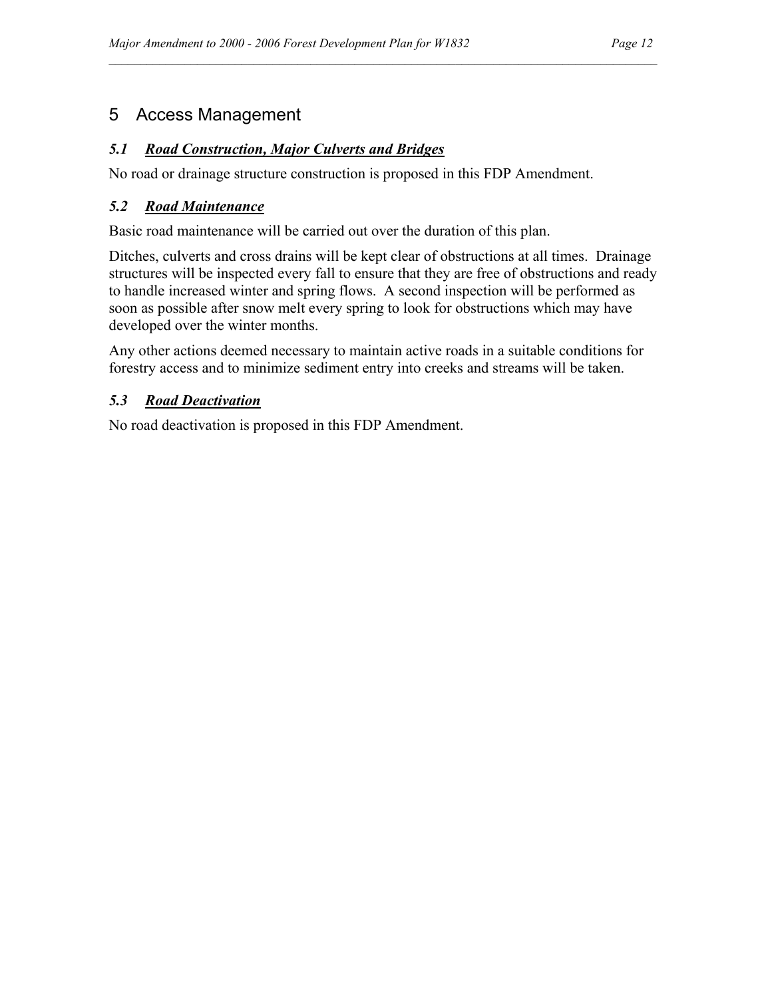## 5 Access Management

#### *5.1 Road Construction, Major Culverts and Bridges*

No road or drainage structure construction is proposed in this FDP Amendment.

#### *5.2 Road Maintenance*

Basic road maintenance will be carried out over the duration of this plan.

Ditches, culverts and cross drains will be kept clear of obstructions at all times. Drainage structures will be inspected every fall to ensure that they are free of obstructions and ready to handle increased winter and spring flows. A second inspection will be performed as soon as possible after snow melt every spring to look for obstructions which may have developed over the winter months.

 $\mathcal{L}_\mathcal{L}$ 

Any other actions deemed necessary to maintain active roads in a suitable conditions for forestry access and to minimize sediment entry into creeks and streams will be taken.

#### *5.3 Road Deactivation*

No road deactivation is proposed in this FDP Amendment.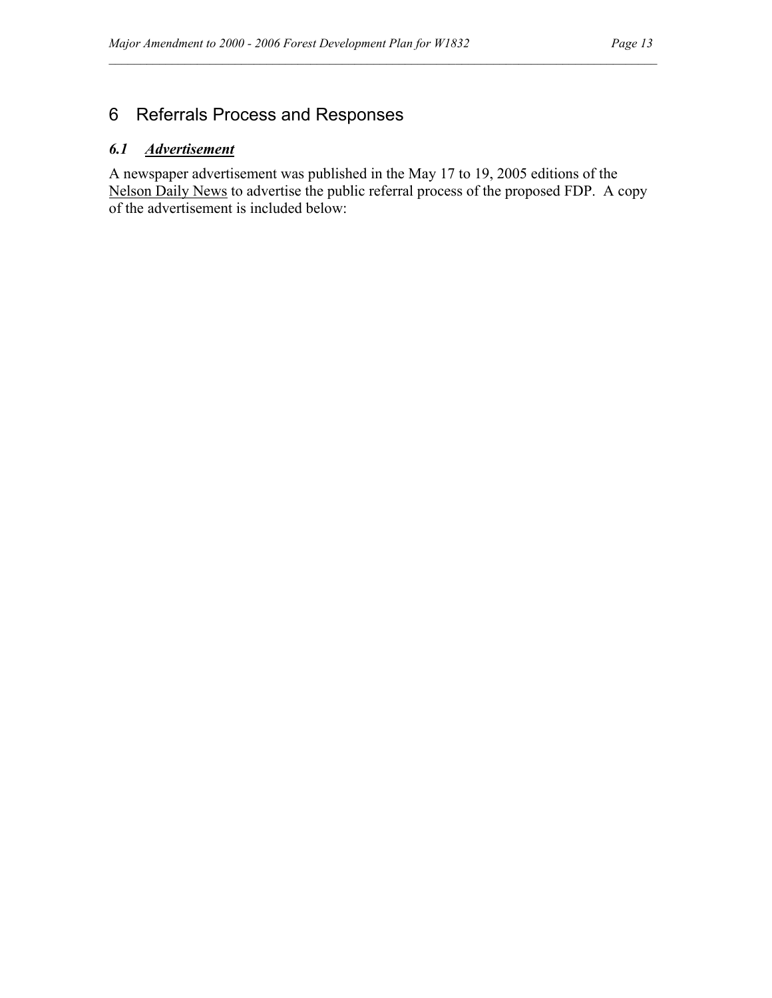## 6 Referrals Process and Responses

#### *6.1 Advertisement*

A newspaper advertisement was published in the May 17 to 19, 2005 editions of the Nelson Daily News to advertise the public referral process of the proposed FDP. A copy of the advertisement is included below:

 $\mathcal{L}_\mathcal{L}$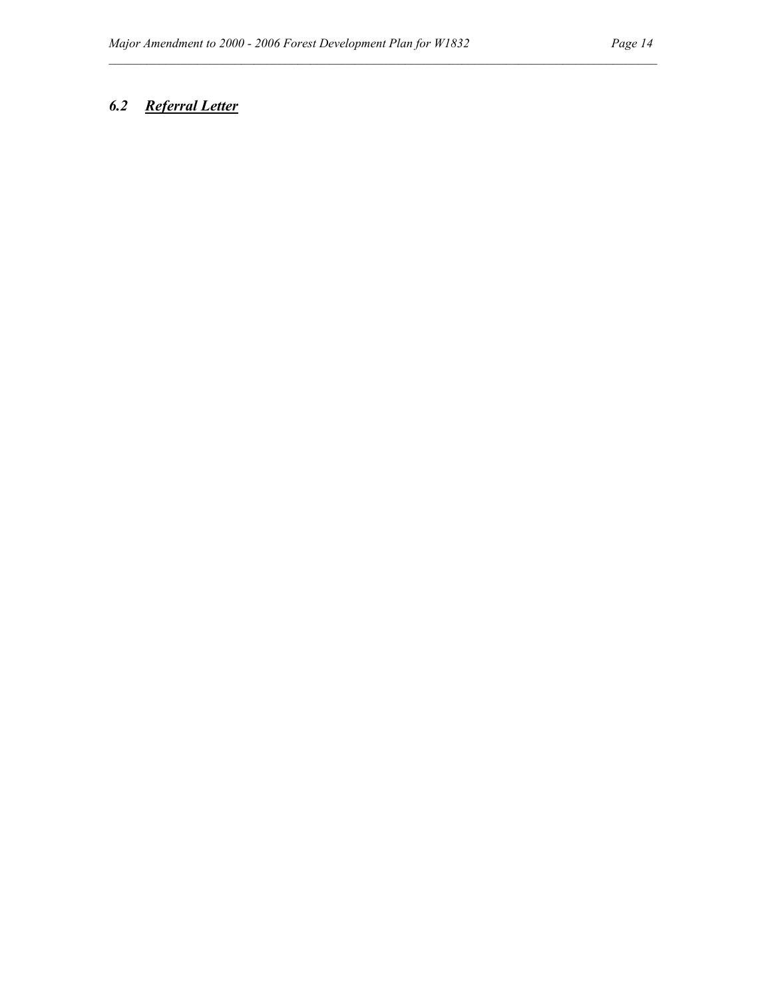### *6.2 Referral Letter*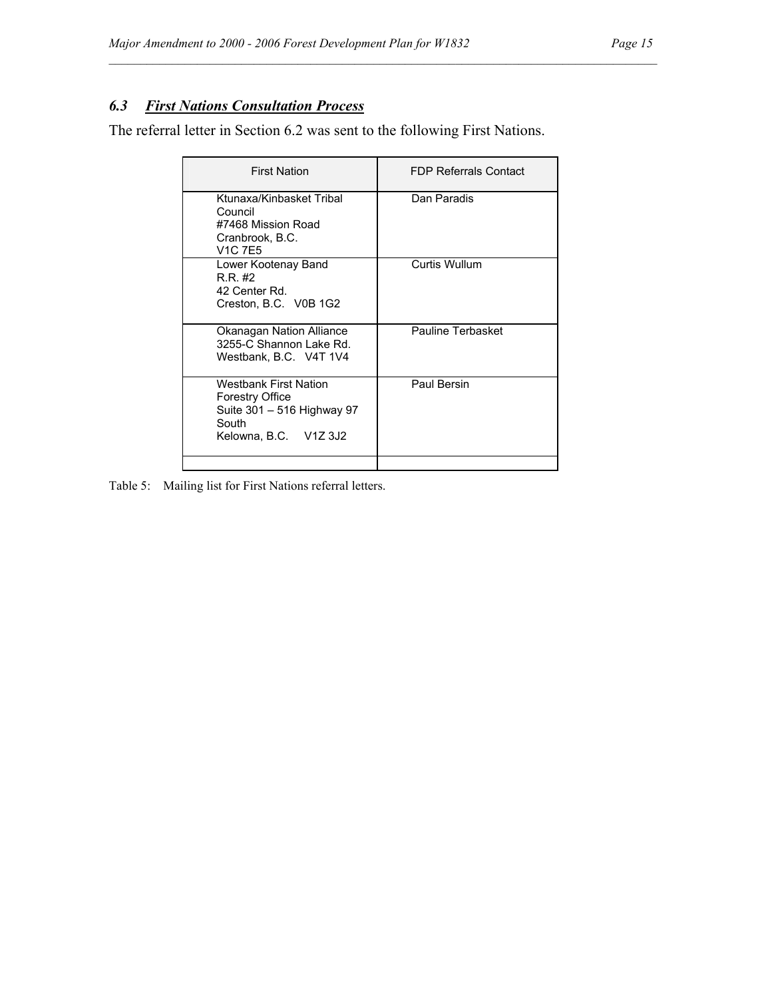### *6.3 First Nations Consultation Process*

The referral letter in Section 6.2 was sent to the following First Nations.

| <b>First Nation</b>                                                                                             | <b>FDP Referrals Contact</b> |
|-----------------------------------------------------------------------------------------------------------------|------------------------------|
| Ktunaxa/Kinbasket Tribal<br>Council<br>#7468 Mission Road<br>Cranbrook, B.C.<br>V1C 7F5                         | Dan Paradis                  |
| Lower Kootenay Band<br>RR #2<br>42 Center Rd.<br>Creston, B.C. V0B 1G2                                          | Curtis Wullum                |
| Okanagan Nation Alliance<br>3255-C Shannon Lake Rd.<br>Westbank, B.C. V4T 1V4                                   | Pauline Terbasket            |
| Westbank First Nation<br><b>Forestry Office</b><br>Suite 301 – 516 Highway 97<br>South<br>Kelowna, B.C. V1Z 3J2 | Paul Bersin                  |
|                                                                                                                 |                              |

 $\mathcal{L}_\mathcal{L}$ 

Table 5: Mailing list for First Nations referral letters.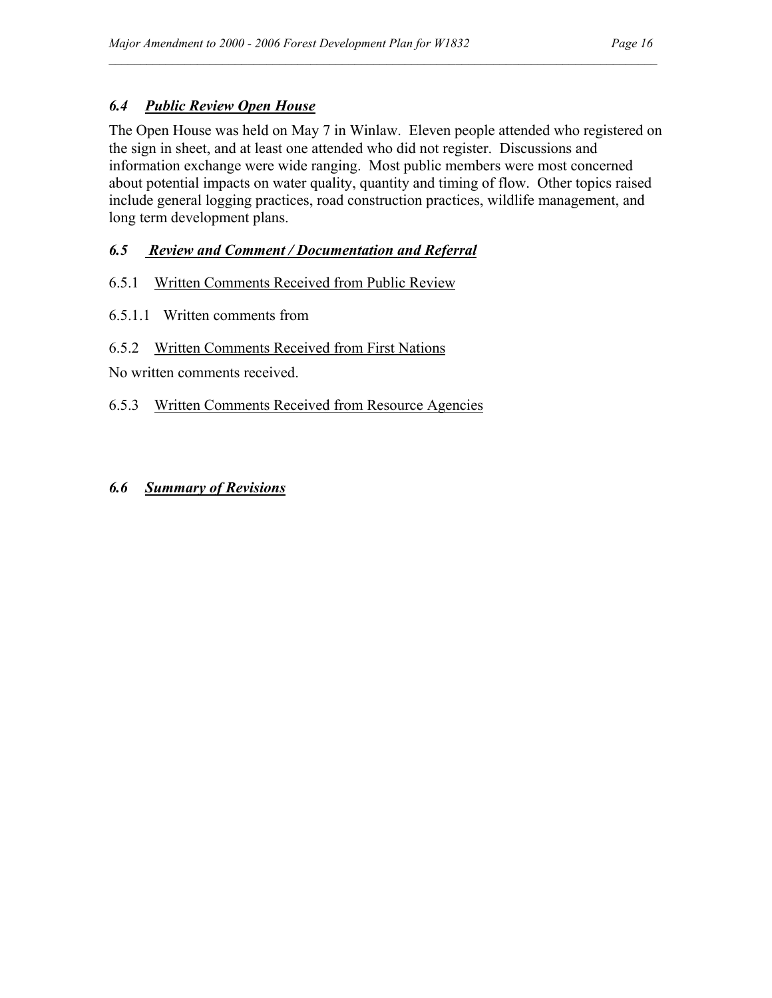#### *6.4 Public Review Open House*

The Open House was held on May 7 in Winlaw. Eleven people attended who registered on the sign in sheet, and at least one attended who did not register. Discussions and information exchange were wide ranging. Most public members were most concerned about potential impacts on water quality, quantity and timing of flow. Other topics raised include general logging practices, road construction practices, wildlife management, and long term development plans.

 $\mathcal{L}_\mathcal{L}$ 

#### *6.5 Review and Comment / Documentation and Referral*

#### 6.5.1 Written Comments Received from Public Review

6.5.1.1 Written comments from

#### 6.5.2 Written Comments Received from First Nations

No written comments received.

#### 6.5.3 Written Comments Received from Resource Agencies

#### *6.6 Summary of Revisions*